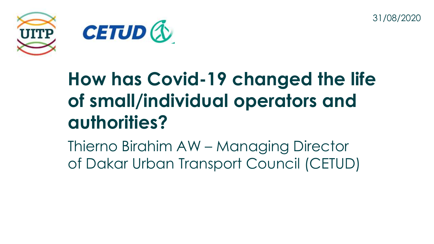31/08/2020



#### **How has Covid-19 changed the life of small/individual operators and authorities?**

Thierno Birahim AW – Managing Director of Dakar Urban Transport Council (CETUD)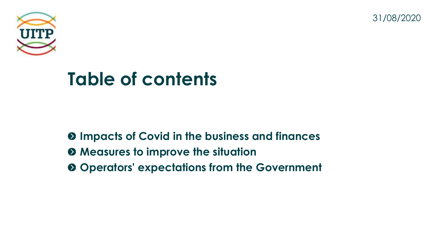31/08/2020



#### **Table of contents**

**Impacts of Covid in the business and finances Measures to improve the situation Operators' expectations from the Government**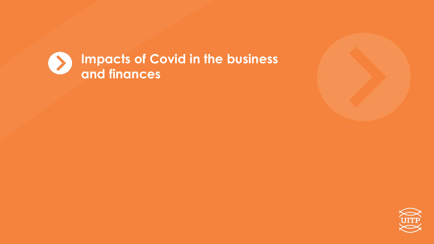

**Impacts of Covid in the business and finances**



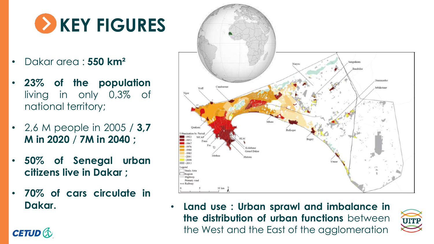## **EX KEY FIGURES**

- Dakar area : **550 km²**
- **23% of the population** living in only 0,3% of national territory;
- 2,6 M people in 2005 / **3,7 M in 2020** / **7M in 2040 ;**
- **50% of Senegal urban citizens live in Dakar ;**
- **70% of cars circulate in**

**CETUD &** 



**Dakar.** • **Land use : Urban sprawl and imbalance in the distribution of urban functions** between the West and the East of the agglomeration

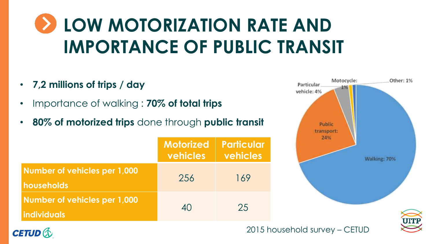#### **LOW MOTORIZATION RATE AND IMPORTANCE OF PUBLIC TRANSIT**

- **7,2 millions of trips / day**
- Importance of walking : **70% of total trips**
- **80% of motorized trips** done through **public transit**

|                                                    | <b>Motorized</b><br>vehicles | <b>Particular</b><br>vehicles |
|----------------------------------------------------|------------------------------|-------------------------------|
| Number of vehicles per 1,000<br>households         | 256                          | 169                           |
| Number of vehicles per 1,000<br><b>Individuals</b> | 40                           | 25                            |





2015 household survey – CETUD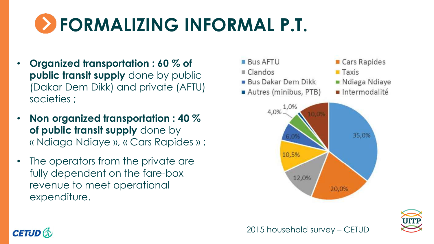# **FORMALIZING INFORMAL P.T.**

- **Organized transportation : 60 % of public transit supply** done by public (Dakar Dem Dikk) and private (AFTU) societies ;
- **Non organized transportation : 40 % of public transit supply** done by « Ndiaga Ndiaye », « Cars Rapides » ;
- The operators from the private are fully dependent on the fare-box revenue to meet operational expenditure.







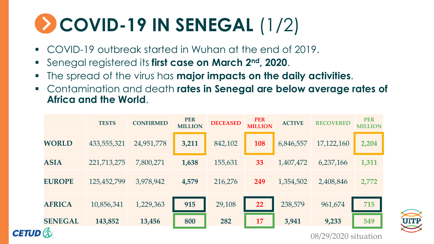# **COVID-19 IN SENEGAL** (1/2)

- COVID-19 outbreak started in Wuhan at the end of 2019.
- Senegal registered its **first case on March 2nd, 2020**.
- The spread of the virus has **major impacts on the daily activities**.
- Contamination and death **rates in Senegal are below average rates of Africa and the World**.

|  |                                            | <b>TESTS</b> | <b>CONFIRMED</b> | <b>PER</b><br><b>MILLION</b> | <b>DECEASED</b> | <b>PER</b><br><b>MILLION</b> | <b>ACTIVE</b> | <b>RECOVERED</b> | <b>PER</b><br><b>MILLION</b> |  |
|--|--------------------------------------------|--------------|------------------|------------------------------|-----------------|------------------------------|---------------|------------------|------------------------------|--|
|  | <b>WORLD</b>                               | 433,555,321  | 24,951,778       | 3,211                        | 842,102         | 108                          | 6,846,557     | 17,122,160       | 2,204                        |  |
|  | <b>ASIA</b>                                | 221,713,275  | 7,800,271        | 1,638                        | 155,631         | 33                           | 1,407,472     | 6,237,166        | 1,311                        |  |
|  | <b>EUROPE</b>                              | 125,452,799  | 3,978,942        | 4,579                        | 216,276         | 249                          | 1,354,502     | 2,408,846        | 2,772                        |  |
|  | <b>AFRICA</b>                              | 10,856,341   | 1,229,363        | 915                          | 29,108          | 22                           | 238,579       | 961,674          | 715                          |  |
|  | <b>SENEGAL</b>                             | 143,852      | 13,456           | 800                          | 282             | 17                           | 3,941         | 9,233            | 549                          |  |
|  | <b>CETUD &amp;</b><br>08/29/2020 situation |              |                  |                              |                 |                              |               |                  |                              |  |

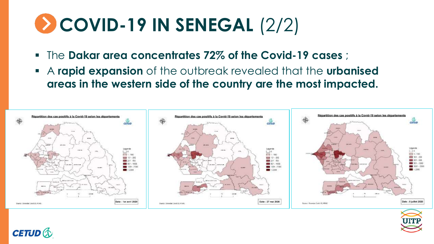## **COVID-19 IN SENEGAL** (2/2)

- The **Dakar area concentrates 72% of the Covid-19 cases** ;
- A **rapid expansion** of the outbreak revealed that the **urbanised areas in the western side of the country are the most impacted.**





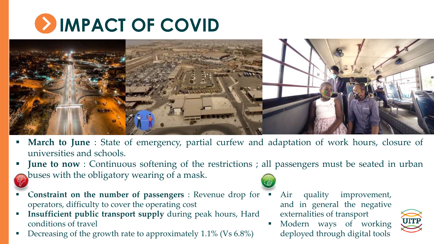



- **March to June** : State of emergency, partial curfew and adaptation of work hours, closure of universities and schools.
- **June to now** : Continuous softening of the restrictions ; all passengers must be seated in urban buses with the obligatory wearing of a mask.
- **Constraint on the number of passengers** : Revenue drop for operators, difficulty to cover the operating cost
- **Insufficient public transport supply** during peak hours, Hard conditions of travel
- Decreasing of the growth rate to approximately 1.1% (Vs 6.8%)
- Air quality improvement, and in general the negative externalities of transport



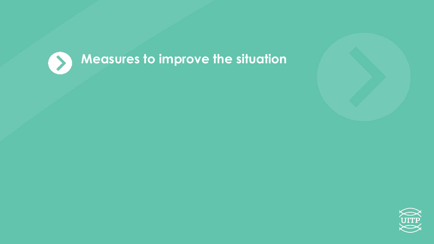

#### **Measures to improve the situation**



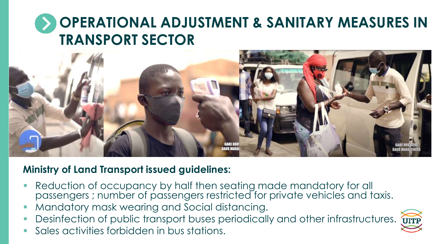#### **OPERATIONAL ADJUSTMENT & SANITARY MEASURES IN TRANSPORT SECTOR**



#### **Ministry of Land Transport issued guidelines:**

- **Reduction of occupancy by half then seating made mandatory for all** passengers ; number of passengers restricted for private vehicles and taxis.
- Mandatory mask wearing and Social distancing.
- Desinfection of public transport buses periodically and other infrastructures.



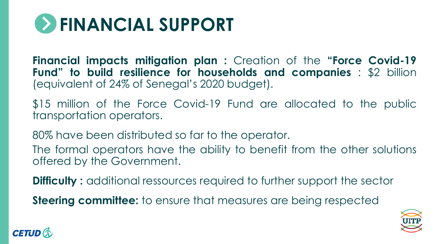

**Financial impacts mitigation plan :** Creation of the **"Force Covid-19 Fund" to build resilience for households and companies** : \$2 billion (equivalent of 24% of Senegal's 2020 budget).

\$15 million of the Force Covid-19 Fund are allocated to the public transportation operators.

80% have been distributed so far to the operator.

The formal operators have the ability to benefit from the other solutions offered by the Government.

**Difficulty :** additional ressources required to further support the sector

**Steering committee:** to ensure that measures are being respected



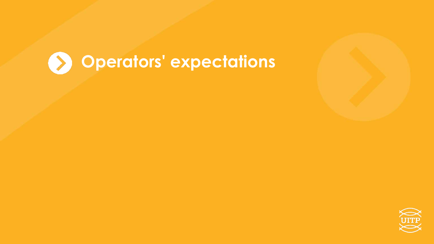



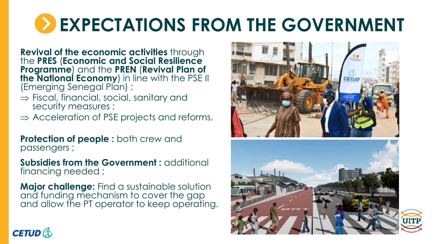### **EXPECTATIONS FROM THE GOVERNMENT**

**Revival of the economic activities** through the **PRES** (**Economic and Social Resilience Programme**) and the **PREN** (**Revival Plan of the National Economy**) in line with the PSE II (Emerging Senegal Plan) :

- $\Rightarrow$  Fiscal, financial, social, sanitary and security measures ;
- $\Rightarrow$  Acceleration of PSE projects and reforms.

**Protection of people :** both crew and passengers ;

**Subsidies from the Government :** additional financing needed ;

**Major challenge:** Find a sustainable solution and funding mechanism to cover the gap and allow the PT operator to keep operating.